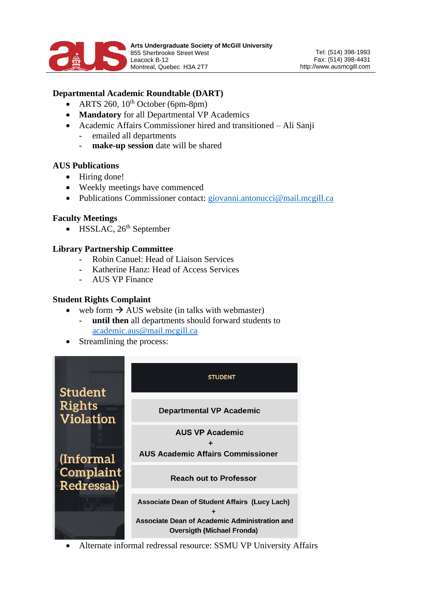

# **Departmental Academic Roundtable (DART)**

- ARTS 260,  $10^{th}$  October (6pm-8pm)
- **Mandatory** for all Departmental VP Academics
- Academic Affairs Commissioner hired and transitioned Ali Sanji
	- emailed all departments
	- make-up session date will be shared

### **AUS Publications**

- Hiring done!
- Weekly meetings have commenced
- Publications Commissioner contact: [giovanni.antonucci@mail.mcgill.ca](mailto:giovanni.antonucci@mail.mcgill.ca)

### **Faculty Meetings**

• HSSLAC,  $26<sup>th</sup>$  September

### **Library Partnership Committee**

- Robin Canuel: Head of Liaison Services
- Katherine Hanz: Head of Access Services
- AUS VP Finance

#### **Student Rights Complaint**

- web form  $\rightarrow$  AUS website (in talks with webmaster)
	- **until then** all departments should forward students to [academic.aus@mail.mcgill.ca](mailto:academic.aus@mail.mcgill.ca)
- Streamlining the process:



• Alternate informal redressal resource: SSMU VP University Affairs